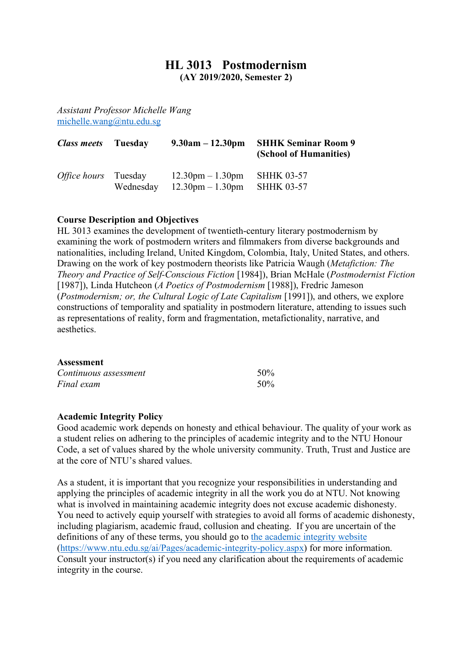# **HL 3013 Postmodernism**

**(AY 2019/2020, Semester 2)**

*Assistant Professor Michelle Wang* michelle.wang@ntu.edu.sg

| <i>Class meets</i> Tuesday  |           | $9.30am - 12.30pm$                                                       | <b>SHHK Seminar Room 9</b><br>(School of Humanities) |
|-----------------------------|-----------|--------------------------------------------------------------------------|------------------------------------------------------|
| <i>Office hours</i> Tuesday | Wednesday | $12.30 \text{pm} - 1.30 \text{pm}$<br>$12.30 \text{pm} - 1.30 \text{pm}$ | <b>SHHK 03-57</b><br><b>SHHK 03-57</b>               |

### **Course Description and Objectives**

HL 3013 examines the development of twentieth-century literary postmodernism by examining the work of postmodern writers and filmmakers from diverse backgrounds and nationalities, including Ireland, United Kingdom, Colombia, Italy, United States, and others. Drawing on the work of key postmodern theorists like Patricia Waugh (*Metafiction: The Theory and Practice of Self-Conscious Fiction* [1984]), Brian McHale (*Postmodernist Fiction*  [1987]), Linda Hutcheon (*A Poetics of Postmodernism* [1988]), Fredric Jameson (*Postmodernism; or, the Cultural Logic of Late Capitalism* [1991]), and others, we explore constructions of temporality and spatiality in postmodern literature, attending to issues such as representations of reality, form and fragmentation, metafictionality, narrative, and aesthetics.

#### **Assessment**

| Continuous assessment | 50% |
|-----------------------|-----|
| Final exam            | 50% |

#### **Academic Integrity Policy**

Good academic work depends on honesty and ethical behaviour. The quality of your work as a student relies on adhering to the principles of academic integrity and to the NTU Honour Code, a set of values shared by the whole university community. Truth, Trust and Justice are at the core of NTU's shared values.

As a student, it is important that you recognize your responsibilities in understanding and applying the principles of academic integrity in all the work you do at NTU. Not knowing what is involved in maintaining academic integrity does not excuse academic dishonesty. You need to actively equip yourself with strategies to avoid all forms of academic dishonesty, including plagiarism, academic fraud, collusion and cheating. If you are uncertain of the definitions of any of these terms, you should go to the academic integrity website (https://www.ntu.edu.sg/ai/Pages/academic-integrity-policy.aspx) for more information. Consult your instructor(s) if you need any clarification about the requirements of academic integrity in the course.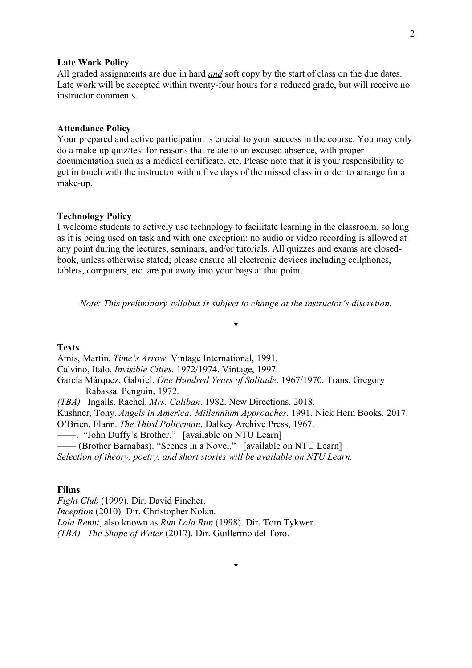#### **Late Work Policy**

All graded assignments are due in hard *and* soft copy by the start of class on the due dates. Late work will be accepted within twenty-four hours for a reduced grade, but will receive no instructor comments.

#### **Attendance Policy**

Your prepared and active participation is crucial to your success in the course. You may only do a make-up quiz/test for reasons that relate to an excused absence, with proper documentation such as a medical certificate, etc. Please note that it is your responsibility to get in touch with the instructor within five days of the missed class in order to arrange for a make-up.

#### **Technology Policy**

I welcome students to actively use technology to facilitate learning in the classroom, so long as it is being used on task and with one exception: no audio or video recording is allowed at any point during the lectures, seminars, and/or tutorials. All quizzes and exams are closedbook, unless otherwise stated; please ensure all electronic devices including cellphones, tablets, computers, etc. are put away into your bags at that point.

*Note: This preliminary syllabus is subject to change at the instructor's discretion.*

**\***

## **Texts**

Amis, Martin. *Time's Arrow*. Vintage International, 1991. Calvino, Italo. *Invisible Cities*. 1972/1974. Vintage, 1997. García Márquez, Gabriel. *One Hundred Years of Solitude*. 1967/1970. Trans. Gregory Rabassa. Penguin, 1972. *(TBA)* Ingalls, Rachel. *Mrs. Caliban*. 1982. New Directions, 2018. Kushner, Tony. *Angels in America: Millennium Approaches*. 1991. Nick Hern Books, 2017. O'Brien, Flann. *The Third Policeman*. Dalkey Archive Press, 1967. ——. "John Duffy's Brother." [available on NTU Learn] —— (Brother Barnabas). "Scenes in a Novel." [available on NTU Learn] *Selection of theory, poetry, and short stories will be available on NTU Learn.*

#### **Films**

*Fight Club* (1999). Dir. David Fincher. *Inception* (2010). Dir. Christopher Nolan. *Lola Rennt*, also known as *Run Lola Run* (1998). Dir. Tom Tykwer. *(TBA) The Shape of Water* (2017). Dir. Guillermo del Toro.